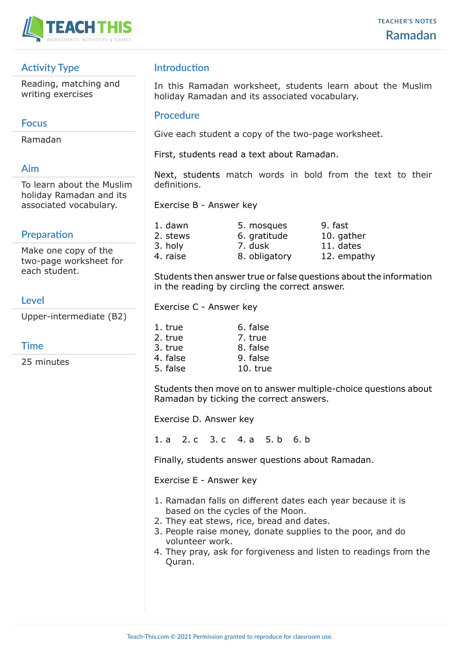

# **Activity Type**

Reading, matching and writing exercises

## **Focus**

Ramadan

# **Aim**

To learn about the Muslim holiday Ramadan and its associated vocabulary.

# **Preparation**

Make one copy of the two-page worksheet for each student.

### **Level**

Upper-intermediate (B2)

# **Time**

25 minutes

# **Introduction**

In this Ramadan worksheet, students learn about the Muslim holiday Ramadan and its associated vocabulary.

### **Procedure**

Give each student a copy of the two-page worksheet.

First, students read a text about Ramadan.

Next, students match words in bold from the text to their definitions.

Exercise B - Answer key

| 5. mosques    | 9. fast     |
|---------------|-------------|
| 6. gratitude  | 10. gather  |
| 7. dusk       | 11. dates   |
| 8. obligatory | 12. empathy |
|               |             |

Students then answer true or false questions about the information in the reading by circling the correct answer.

Exercise C - Answer key

| 1. true  | 6. false |
|----------|----------|
| 2. true  | 7. true  |
| 3. true  | 8. false |
| 4. false | 9. false |
| 5. false | 10. true |

Students then move on to answer multiple-choice questions about Ramadan by ticking the correct answers.

Exercise D. Answer key

1. a 2. c 3. c 4. a 5. b 6. b

Finally, students answer questions about Ramadan.

Exercise E - Answer key

- 1. Ramadan falls on different dates each year because it is based on the cycles of the Moon.
- 2. They eat stews, rice, bread and dates.
- 3. People raise money, donate supplies to the poor, and do volunteer work.
- 4. They pray, ask for forgiveness and listen to readings from the Quran.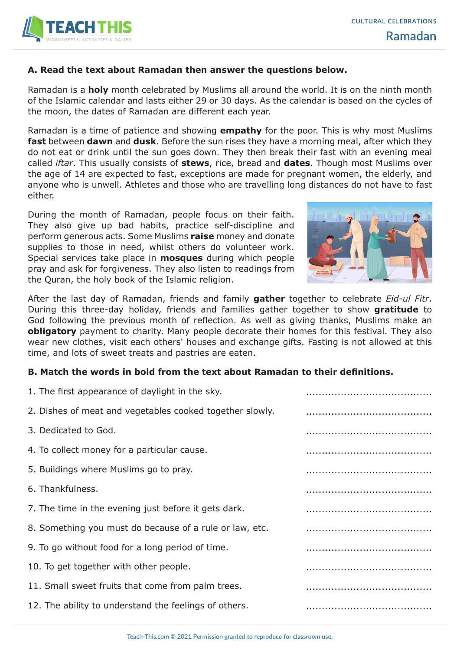

### **A. Read the text about Ramadan then answer the questions below.**

Ramadan is a **holy** month celebrated by Muslims all around the world. It is on the ninth month of the Islamic calendar and lasts either 29 or 30 days. As the calendar is based on the cycles of the moon, the dates of Ramadan are different each year.

Ramadan is a time of patience and showing **empathy** for the poor. This is why most Muslims **fast** between **dawn** and **dusk**. Before the sun rises they have a morning meal, after which they do not eat or drink until the sun goes down. They then break their fast with an evening meal called *iftar*. This usually consists of **stews**, rice, bread and **dates**. Though most Muslims over the age of 14 are expected to fast, exceptions are made for pregnant women, the elderly, and anyone who is unwell. Athletes and those who are travelling long distances do not have to fast either.

During the month of Ramadan, people focus on their faith. They also give up bad habits, practice self-discipline and perform generous acts. Some Muslims **raise** money and donate supplies to those in need, whilst others do volunteer work. Special services take place in **mosques** during which people pray and ask for forgiveness. They also listen to readings from the Quran, the holy book of the Islamic religion.



After the last day of Ramadan, friends and family **gather** together to celebrate *Eid-ul Fitr*. During this three-day holiday, friends and families gather together to show **gratitude** to God following the previous month of reflection. As well as giving thanks, Muslims make an **obligatory** payment to charity. Many people decorate their homes for this festival. They also wear new clothes, visit each others' houses and exchange gifts. Fasting is not allowed at this time, and lots of sweet treats and pastries are eaten.

#### **B. Match the words in bold from the text about Ramadan to their definitions.**

| 1. The first appearance of daylight in the sky.          |  |
|----------------------------------------------------------|--|
| 2. Dishes of meat and vegetables cooked together slowly. |  |
| 3. Dedicated to God.                                     |  |
| 4. To collect money for a particular cause.              |  |
| 5. Buildings where Muslims go to pray.                   |  |
| 6. Thankfulness.                                         |  |
| 7. The time in the evening just before it gets dark.     |  |
| 8. Something you must do because of a rule or law, etc.  |  |
| 9. To go without food for a long period of time.         |  |
| 10. To get together with other people.                   |  |
| 11. Small sweet fruits that come from palm trees.        |  |
| 12. The ability to understand the feelings of others.    |  |